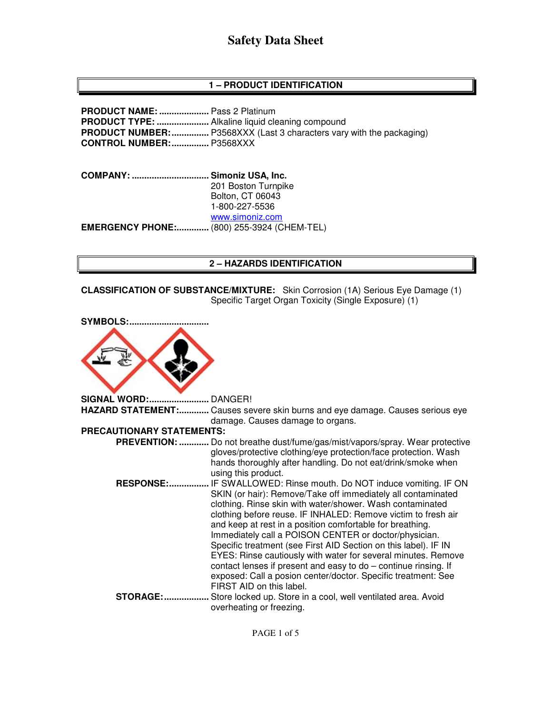## **1 – PRODUCT IDENTIFICATION**

**PRODUCT NAME: ....................** Pass 2 Platinum **PRODUCT TYPE: .....................** Alkaline liquid cleaning compound **PRODUCT NUMBER:** ................. P3568XXX (Last 3 characters vary with the packaging) **CONTROL NUMBER: ...............** P3568XXX

**COMPANY: ............................... Simoniz USA, Inc.** 201 Boston Turnpike Bolton, CT 06043 1-800-227-5536 www.simoniz.com **EMERGENCY PHONE:.............** (800) 255-3924 (CHEM-TEL)

#### **2 – HAZARDS IDENTIFICATION**

**CLASSIFICATION OF SUBSTANCE/MIXTURE:** Skin Corrosion (1A) Serious Eye Damage (1) Specific Target Organ Toxicity (Single Exposure) (1)

| <b>SYMBOLS:</b>                  |                                                                                                                                                                                                                                                                                                                                                                                                                                                                                                                                                                                                                                                                                  |
|----------------------------------|----------------------------------------------------------------------------------------------------------------------------------------------------------------------------------------------------------------------------------------------------------------------------------------------------------------------------------------------------------------------------------------------------------------------------------------------------------------------------------------------------------------------------------------------------------------------------------------------------------------------------------------------------------------------------------|
|                                  |                                                                                                                                                                                                                                                                                                                                                                                                                                                                                                                                                                                                                                                                                  |
| <b>SIGNAL WORD:</b>              | DANGER!                                                                                                                                                                                                                                                                                                                                                                                                                                                                                                                                                                                                                                                                          |
| <b>HAZARD STATEMENT:</b>         | Causes severe skin burns and eye damage. Causes serious eye                                                                                                                                                                                                                                                                                                                                                                                                                                                                                                                                                                                                                      |
|                                  | damage. Causes damage to organs.                                                                                                                                                                                                                                                                                                                                                                                                                                                                                                                                                                                                                                                 |
| <b>PRECAUTIONARY STATEMENTS:</b> |                                                                                                                                                                                                                                                                                                                                                                                                                                                                                                                                                                                                                                                                                  |
|                                  | PREVENTION:  Do not breathe dust/fume/gas/mist/vapors/spray. Wear protective                                                                                                                                                                                                                                                                                                                                                                                                                                                                                                                                                                                                     |
|                                  | gloves/protective clothing/eye protection/face protection. Wash<br>hands thoroughly after handling. Do not eat/drink/smoke when<br>using this product.                                                                                                                                                                                                                                                                                                                                                                                                                                                                                                                           |
| <b>RESPONSE:</b>                 | IF SWALLOWED: Rinse mouth. Do NOT induce vomiting. IF ON<br>SKIN (or hair): Remove/Take off immediately all contaminated<br>clothing. Rinse skin with water/shower. Wash contaminated<br>clothing before reuse. IF INHALED: Remove victim to fresh air<br>and keep at rest in a position comfortable for breathing.<br>Immediately call a POISON CENTER or doctor/physician.<br>Specific treatment (see First AID Section on this label). IF IN<br>EYES: Rinse cautiously with water for several minutes. Remove<br>contact lenses if present and easy to do - continue rinsing. If<br>exposed: Call a posion center/doctor. Specific treatment: See<br>FIRST AID on this label. |
| <b>STORAGE:</b>                  | Store locked up. Store in a cool, well ventilated area. Avoid<br>overheating or freezing.                                                                                                                                                                                                                                                                                                                                                                                                                                                                                                                                                                                        |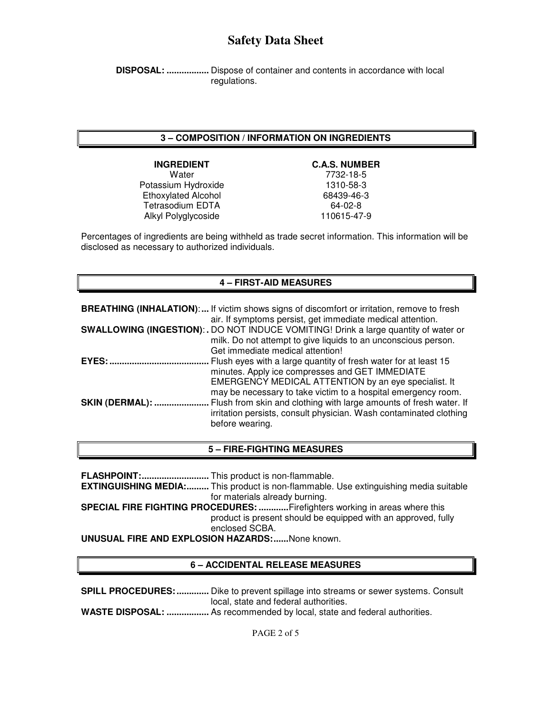**DISPOSAL: .................** Dispose of container and contents in accordance with local regulations.

#### **3 – COMPOSITION / INFORMATION ON INGREDIENTS**

Water 7732-18-5 Potassium Hydroxide Ethoxylated Alcohol 68439-46-3 Tetrasodium EDTA 64-02-8 Alkyl Polyglycoside 110615-47-9

#### **INGREDIENT C.A.S. NUMBER**

Percentages of ingredients are being withheld as trade secret information. This information will be disclosed as necessary to authorized individuals.

### **4 – FIRST-AID MEASURES**

|                        | <b>BREATHING (INHALATION):</b> If victim shows signs of discomfort or irritation, remove to fresh<br>air. If symptoms persist, get immediate medical attention.                                                                             |
|------------------------|---------------------------------------------------------------------------------------------------------------------------------------------------------------------------------------------------------------------------------------------|
|                        | SWALLOWING (INGESTION): . DO NOT INDUCE VOMITING! Drink a large quantity of water or<br>milk. Do not attempt to give liquids to an unconscious person.<br>Get immediate medical attention!                                                  |
| $EYES:$                | Flush eyes with a large quantity of fresh water for at least 15<br>minutes. Apply ice compresses and GET IMMEDIATE<br>EMERGENCY MEDICAL ATTENTION by an eye specialist. It<br>may be necessary to take victim to a hospital emergency room. |
| <b>SKIN (DERMAL): </b> | Flush from skin and clothing with large amounts of fresh water. If<br>irritation persists, consult physician. Wash contaminated clothing<br>before wearing.                                                                                 |

#### **5 – FIRE-FIGHTING MEASURES**

**FLASHPOINT: ...........................** This product is non-flammable. **EXTINGUISHING MEDIA:.........** This product is non-flammable. Use extinguishing media suitable for materials already burning. **SPECIAL FIRE FIGHTING PROCEDURES: ............** Firefighters working in areas where this product is present should be equipped with an approved, fully enclosed SCBA. **UNUSUAL FIRE AND EXPLOSION HAZARDS: ......** None known.

#### **6 – ACCIDENTAL RELEASE MEASURES**

**SPILL PROCEDURES: .............** Dike to prevent spillage into streams or sewer systems. Consult local, state and federal authorities. **WASTE DISPOSAL: .................** As recommended by local, state and federal authorities.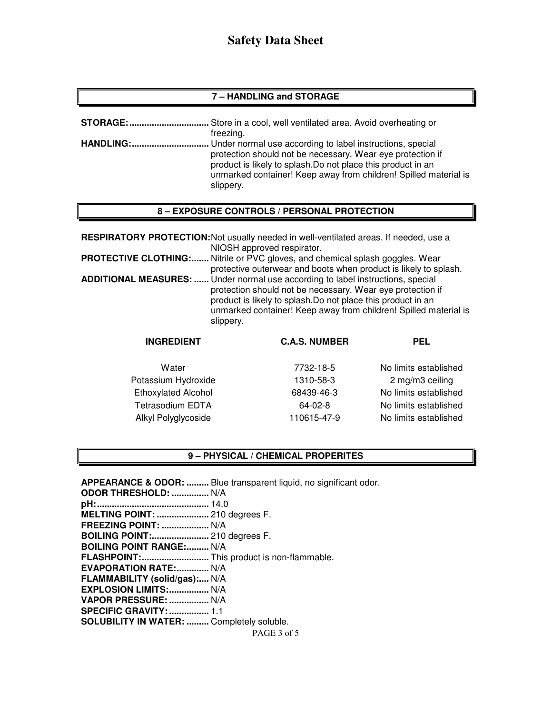#### **7 – HANDLING and STORAGE**

| STORAGE:         | . Store in a cool, well ventilated area. Avoid overheating or                                                                                                                                                                                                            |
|------------------|--------------------------------------------------------------------------------------------------------------------------------------------------------------------------------------------------------------------------------------------------------------------------|
|                  | freezing.                                                                                                                                                                                                                                                                |
| <b>HANDLING:</b> | Under normal use according to label instructions, special<br>protection should not be necessary. Wear eye protection if<br>product is likely to splash. Do not place this product in an<br>unmarked container! Keep away from children! Spilled material is<br>slippery. |

#### **8 – EXPOSURE CONTROLS / PERSONAL PROTECTION**

| <b>RESPIRATORY PROTECTION:</b> Not usually needed in well-ventilated areas. If needed, use a<br>NIOSH approved respirator.                                                                                                                                                                     |
|------------------------------------------------------------------------------------------------------------------------------------------------------------------------------------------------------------------------------------------------------------------------------------------------|
| <b>PROTECTIVE CLOTHING:</b> Nitrile or PVC gloves, and chemical splash goggles. Wear<br>protective outerwear and boots when product is likely to splash.                                                                                                                                       |
| ADDITIONAL MEASURES:  Under normal use according to label instructions, special<br>protection should not be necessary. Wear eye protection if<br>product is likely to splash. Do not place this product in an<br>unmarked container! Keep away from children! Spilled material is<br>slippery. |

| <b>INGREDIENT</b>          | <b>C.A.S. NUMBER</b> | <b>PEL</b>            |
|----------------------------|----------------------|-----------------------|
| Water                      | 7732-18-5            | No limits established |
| Potassium Hydroxide        | 1310-58-3            | 2 mg/m3 ceiling       |
| <b>Ethoxylated Alcohol</b> | 68439-46-3           | No limits established |
| <b>Tetrasodium EDTA</b>    | $64-02-8$            | No limits established |
| Alkyl Polyglycoside        | 110615-47-9          | No limits established |

#### **9 – PHYSICAL / CHEMICAL PROPERITES**

PAGE 3 of 5 **APPEARANCE & ODOR: .........** Blue transparent liquid, no significant odor. **ODOR THRESHOLD: ...............** N/A **pH: .............................................** 14.0 **MELTING POINT: .....................** 210 degrees F. **FREEZING POINT: ...................** N/A **BOILING POINT:.......................** 210 degrees F. **BOILING POINT RANGE:......... N/A FLASHPOINT: ...........................** This product is non-flammable. **EVAPORATION RATE:.............. N/A FLAMMABILITY (solid/gas):....** N/A **EXPLOSION LIMITS: ................** N/A **VAPOR PRESSURE: ................** N/A **SPECIFIC GRAVITY: ................** 1.1 **SOLUBILITY IN WATER: .........** Completely soluble.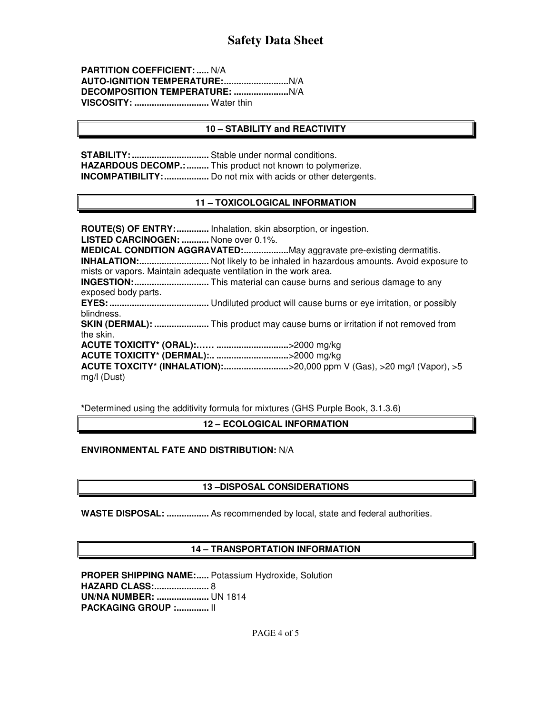**PARTITION COEFFICIENT: .....** N/A **AUTO-IGNITION TEMPERATURE: ..........................** N/A **DECOMPOSITION TEMPERATURE: ......................** N/A **VISCOSITY: ..............................** Water thin

#### **10 – STABILITY and REACTIVITY**

**STABILITY: ...............................** Stable under normal conditions. **HAZARDOUS DECOMP.: .........** This product not known to polymerize. **INCOMPATIBILITY: ..................** Do not mix with acids or other detergents.

#### **11 – TOXICOLOGICAL INFORMATION**

**ROUTE(S) OF ENTRY: .............** Inhalation, skin absorption, or ingestion. **LISTED CARCINOGEN: ...........** None over 0.1%. **MEDICAL CONDITION AGGRAVATED: ..................** May aggravate pre-existing dermatitis. **INHALATION: ............................** Not likely to be inhaled in hazardous amounts. Avoid exposure to mists or vapors. Maintain adequate ventilation in the work area. **INGESTION: ..............................** This material can cause burns and serious damage to any exposed body parts. **EYES: ........................................** Undiluted product will cause burns or eye irritation, or possibly blindness. **SKIN (DERMAL): ......................** This product may cause burns or irritation if not removed from the skin. **ACUTE TOXICITY\* (ORAL):…… .............................** >2000 mg/kg **ACUTE TOXICITY\* (DERMAL):.. .............................** >2000 mg/kg **ACUTE TOXCITY\* (INHALATION): ..........................** >20,000 ppm V (Gas), >20 mg/l (Vapor), >5 mg/l (Dust)

**\***Determined using the additivity formula for mixtures (GHS Purple Book, 3.1.3.6)

**12 – ECOLOGICAL INFORMATION** 

#### **ENVIRONMENTAL FATE AND DISTRIBUTION:** N/A

#### **13 –DISPOSAL CONSIDERATIONS**

**WASTE DISPOSAL: .................** As recommended by local, state and federal authorities.

#### **14 – TRANSPORTATION INFORMATION**

**PROPER SHIPPING NAME:.....** Potassium Hydroxide, Solution **HAZARD CLASS: ......................** 8 **UN/NA NUMBER: .....................** UN 1814 **PACKAGING GROUP :.............. | |**